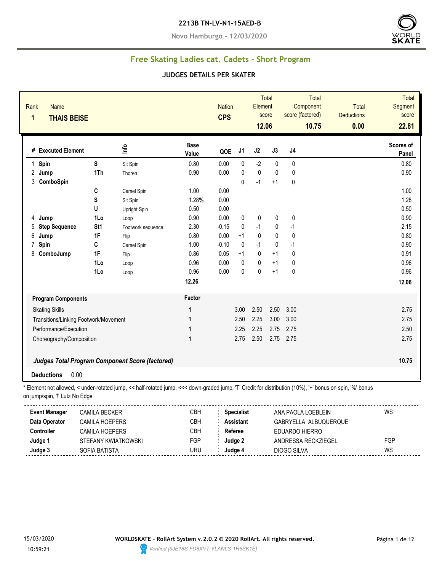#### **2213B TN-LV-N1-15AED-B**

**Novo Hamburgo - 12/03/2020**



### **Free Skating Ladies cat. Cadets - Short Program**

#### **JUDGES DETAILS PER SKATER**

| <b>Name</b><br>Rank<br>1<br><b>THAIS BEISE</b> |                       |                                                                                                                                                          |                      | <b>Nation</b><br><b>CPS</b> |                   | <b>Element</b><br>12.06 | <b>Total</b><br>score | <b>Total</b><br>Component<br>score (factored)<br>10.75 | <b>Total</b><br><b>Deductions</b><br>0.00 | <b>Total</b><br>Segment<br>score<br>22.81 |
|------------------------------------------------|-----------------------|----------------------------------------------------------------------------------------------------------------------------------------------------------|----------------------|-----------------------------|-------------------|-------------------------|-----------------------|--------------------------------------------------------|-------------------------------------------|-------------------------------------------|
| # Executed Element                             |                       | Info                                                                                                                                                     | <b>Base</b><br>Value | QOE                         | J1                | J2                      | J3                    | J <sub>4</sub>                                         |                                           | Scores of<br>Panel                        |
| 1 Spin                                         | S                     | Sit Spin                                                                                                                                                 | 0.80                 | 0.00                        | $\mathbf{0}$      | $-2$                    | $\mathbf 0$           | $\mathbf{0}$                                           |                                           | 0.80                                      |
| 2 Jump                                         | 1Th                   | Thoren                                                                                                                                                   | 0.90                 | 0.00                        | 0                 | $\mathbf{0}$            | $\mathbf{0}$          | $\mathbf{0}$                                           |                                           | 0.90                                      |
| 3 ComboSpin                                    |                       |                                                                                                                                                          |                      |                             | $\Omega$          | $-1$                    | $+1$                  | $\mathbf{0}$                                           |                                           |                                           |
|                                                | C                     | Camel Spin                                                                                                                                               | 1.00                 | 0.00                        |                   |                         |                       |                                                        |                                           | 1.00                                      |
|                                                | S                     | Sit Spin                                                                                                                                                 | 1.28%                | 0.00                        |                   |                         |                       |                                                        |                                           | 1.28                                      |
|                                                | U                     | Upright Spin                                                                                                                                             | 0.50                 | 0.00                        |                   |                         |                       |                                                        |                                           | 0.50                                      |
| Jump<br>4                                      | 1Lo                   | Loop                                                                                                                                                     | 0.90                 | 0.00                        | 0                 | 0                       | 0                     | 0                                                      |                                           | 0.90                                      |
| <b>Step Sequence</b><br>5                      | St <sub>1</sub>       | Footwork sequence                                                                                                                                        | 2.30                 | $-0.15$                     | 0                 | $-1$                    | $\pmb{0}$             | $-1$                                                   |                                           | 2.15                                      |
| 6<br>Jump                                      | 1F                    | Flip                                                                                                                                                     | 0.80                 | 0.00                        | $+1$              | 0                       | 0                     | $\pmb{0}$                                              |                                           | 0.80                                      |
| 7<br>Spin                                      | C                     | Camel Spin                                                                                                                                               | 1.00                 | $-0.10$                     | $\Omega$          | $-1$                    | $\mathbf 0$           | $-1$                                                   |                                           | 0.90                                      |
| ComboJump<br>8                                 | 1F                    | Flip                                                                                                                                                     | 0.86                 | 0.05                        | $+1$              | $\mathbf{0}$            | $+1$                  | $\mathbf{0}$                                           |                                           | 0.91                                      |
|                                                | 1Lo                   | Loop                                                                                                                                                     | 0.96                 | 0.00                        | $\mathbf{0}$      | $\pmb{0}$               | $+1$                  | $\pmb{0}$                                              |                                           | 0.96                                      |
|                                                | 1Lo                   | Loop                                                                                                                                                     | 0.96                 | 0.00                        | 0                 | $\Omega$                | $+1$                  | $\mathbf{0}$                                           |                                           | 0.96                                      |
|                                                |                       |                                                                                                                                                          | 12.26                |                             |                   |                         |                       |                                                        |                                           | 12.06                                     |
| <b>Program Components</b>                      |                       |                                                                                                                                                          | Factor               |                             |                   |                         |                       |                                                        |                                           |                                           |
| <b>Skating Skills</b>                          |                       |                                                                                                                                                          | 1                    |                             | 3.00              | 2.50                    | 2.50                  | 3.00                                                   |                                           | 2.75                                      |
| Transitions/Linking Footwork/Movement          |                       |                                                                                                                                                          | 1                    |                             | 2.50              | 2.25                    | 3.00                  | 3.00                                                   |                                           | 2.75                                      |
| Performance/Execution                          |                       |                                                                                                                                                          | 1                    |                             | 2.25              | 2.25                    | 2.75                  | 2.75                                                   |                                           | 2.50                                      |
| Choreography/Composition                       |                       |                                                                                                                                                          | 1                    |                             | 2.75              | 2.50                    |                       | 2.75 2.75                                              |                                           | 2.75                                      |
|                                                |                       | Judges Total Program Component Score (factored)                                                                                                          |                      |                             |                   |                         |                       |                                                        |                                           | 10.75                                     |
| <b>Deductions</b>                              | 0.00                  |                                                                                                                                                          |                      |                             |                   |                         |                       |                                                        |                                           |                                           |
|                                                |                       | * Element not allowed, < under-rotated jump, << half-rotated jump, <<< down-graded jump, 'T' Credit for distribution (10%), '+' bonus on spin, '%' bonus |                      |                             |                   |                         |                       |                                                        |                                           |                                           |
| on jump/spin, "!' Lutz No Edge                 |                       |                                                                                                                                                          |                      |                             |                   |                         |                       |                                                        |                                           |                                           |
| <b>Event Manager</b>                           | <b>CAMILA BECKER</b>  |                                                                                                                                                          | CBH                  |                             | <b>Specialist</b> |                         |                       | ANA PAOLA LOEBLEIN                                     |                                           | <b>WS</b>                                 |
| Data Operator                                  | <b>CAMILA HOEPERS</b> |                                                                                                                                                          | <b>CBH</b>           |                             | <b>Assistant</b>  |                         |                       | GABRYELLA ALBUQUERQUE                                  |                                           |                                           |
| <b>Controller</b>                              | <b>CAMILA HOEPERS</b> |                                                                                                                                                          | CBH                  |                             | Referee           |                         |                       | EDUARDO HIERRO                                         |                                           |                                           |
| Judge 1                                        | STEFANY KWIATKOWSKI   |                                                                                                                                                          | FGP                  |                             | Judge 2           |                         |                       | ANDRESSA RECKZIEGEL                                    |                                           | FGP                                       |
| Judge 3                                        | SOFIA BATISTA         |                                                                                                                                                          | <b>URU</b>           |                             | Judge 4           |                         |                       | <b>DIOGO SILVA</b>                                     |                                           | WS                                        |

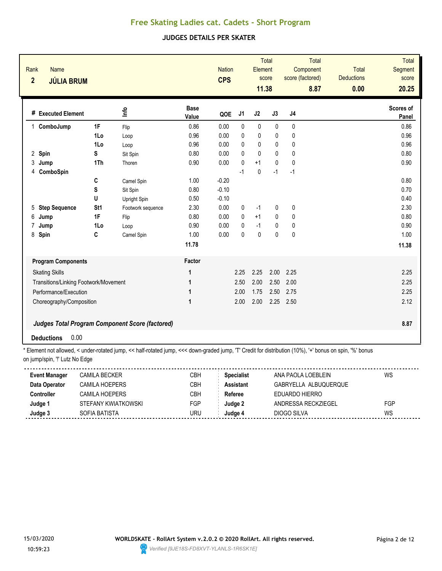#### **JUDGES DETAILS PER SKATER**

| Rank<br>$\overline{2}$ | <b>Name</b><br><b>JÚLIA BRUM</b>      |                 |                                                        |                      | <b>Nation</b><br><b>CPS</b> |                | Element<br>11.38 | <b>Total</b><br>score | score (factored) | <b>Total</b><br>Component<br>8.87 | <b>Total</b><br><b>Deductions</b><br>0.00 | <b>Total</b><br>Segment<br>score<br>20.25 |
|------------------------|---------------------------------------|-----------------|--------------------------------------------------------|----------------------|-----------------------------|----------------|------------------|-----------------------|------------------|-----------------------------------|-------------------------------------------|-------------------------------------------|
|                        | # Executed Element                    |                 | ۴ů                                                     | <b>Base</b><br>Value | QOE                         | J <sub>1</sub> | J2               | J3                    | J <sub>4</sub>   |                                   |                                           | Scores of<br>Panel                        |
| $\mathbf 1$            | ComboJump                             | 1F              | Flip                                                   | 0.86                 | 0.00                        | $\mathbf{0}$   | $\pmb{0}$        | $\mathbf{0}$          | 0                |                                   |                                           | 0.86                                      |
|                        |                                       | 1Lo             | Loop                                                   | 0.96                 | 0.00                        | 0              | $\pmb{0}$        | 0                     | 0                |                                   |                                           | 0.96                                      |
|                        |                                       | 1Lo             | Loop                                                   | 0.96                 | 0.00                        | 0              | 0                | 0                     | 0                |                                   |                                           | 0.96                                      |
| $\overline{2}$<br>Spin |                                       | S               | Sit Spin                                               | 0.80                 | 0.00                        | $\mathbf{0}$   | $\mathbf{0}$     | 0                     | 0                |                                   |                                           | 0.80                                      |
| 3<br>Jump              |                                       | 1Th             | Thoren                                                 | 0.90                 | 0.00                        | $\mathbf{0}$   | $+1$             | 0                     | $\mathbf{0}$     |                                   |                                           | 0.90                                      |
| 4                      | ComboSpin                             |                 |                                                        |                      |                             | $-1$           | 0                | $-1$                  | $-1$             |                                   |                                           |                                           |
|                        |                                       | C               | Camel Spin                                             | 1.00                 | $-0.20$                     |                |                  |                       |                  |                                   |                                           | 0.80                                      |
|                        |                                       | $\mathbf S$     | Sit Spin                                               | 0.80                 | $-0.10$                     |                |                  |                       |                  |                                   |                                           | 0.70                                      |
|                        |                                       | U               | Upright Spin                                           | 0.50                 | $-0.10$                     |                |                  |                       |                  |                                   |                                           | 0.40                                      |
| 5                      | <b>Step Sequence</b>                  | St <sub>1</sub> | Footwork sequence                                      | 2.30                 | 0.00                        | 0              | $-1$             | 0                     | 0                |                                   |                                           | 2.30                                      |
| 6<br>Jump              |                                       | 1F              | Flip                                                   | 0.80                 | 0.00                        | $\mathbf{0}$   | $+1$             | 0                     | 0                |                                   |                                           | 0.80                                      |
| 7<br>Jump              |                                       | 1Lo             | Loop                                                   | 0.90                 | 0.00                        | $\mathbf{0}$   | $-1$             | 0                     | $\mathbf 0$      |                                   |                                           | 0.90                                      |
| 8<br>Spin              |                                       | C               | Camel Spin                                             | 1.00                 | 0.00                        | $\mathbf{0}$   | $\mathbf{0}$     | 0                     | 0                |                                   |                                           | 1.00                                      |
|                        |                                       |                 |                                                        | 11.78                |                             |                |                  |                       |                  |                                   |                                           | 11.38                                     |
|                        | <b>Program Components</b>             |                 |                                                        | Factor               |                             |                |                  |                       |                  |                                   |                                           |                                           |
|                        | <b>Skating Skills</b>                 |                 |                                                        | 1                    |                             | 2.25           | 2.25             | 2.00                  | 2.25             |                                   |                                           | 2.25                                      |
|                        | Transitions/Linking Footwork/Movement |                 |                                                        | 1                    |                             | 2.50           | 2.00             | 2.50                  | 2.00             |                                   |                                           | 2.25                                      |
|                        | Performance/Execution                 |                 |                                                        | 1                    |                             | 2.00           | 1.75             | 2.50                  | 2.75             |                                   |                                           | 2.25                                      |
|                        | Choreography/Composition              |                 |                                                        | $\mathbf 1$          |                             | 2.00           | 2.00             | 2.25                  | 2.50             |                                   |                                           | 2.12                                      |
|                        |                                       |                 |                                                        |                      |                             |                |                  |                       |                  |                                   |                                           |                                           |
|                        |                                       |                 | <b>Judges Total Program Component Score (factored)</b> |                      |                             |                |                  |                       |                  |                                   |                                           | 8.87                                      |
| <b>Deductions</b>      | 0.00                                  |                 |                                                        |                      |                             |                |                  |                       |                  |                                   |                                           |                                           |

| <b>Event Manager</b> | <b>CAMILA BECKER</b> | СВН        | <b>Specialist</b> | ANA PAOLA LOEBLEIN    | WS  |
|----------------------|----------------------|------------|-------------------|-----------------------|-----|
| Data Operator        | CAMILA HOFPFRS       | CBH        | <b>Assistant</b>  | GABRYELLA ALBUQUERQUE |     |
| Controller           | CAMILA HOFPFRS       | СВН        | Referee           | FDUARDO HIFRRO        |     |
| Judge 1              | STEFANY KWIATKOWSKI  | <b>FGP</b> | Judge 2           | ANDRESSA RECKZIEGEL   | FGP |
| Judge 3              | SOFIA BATISTA        | JRU        | Judqe⊿            | DIOGO SILVA           | WS  |
|                      |                      |            |                   |                       |     |

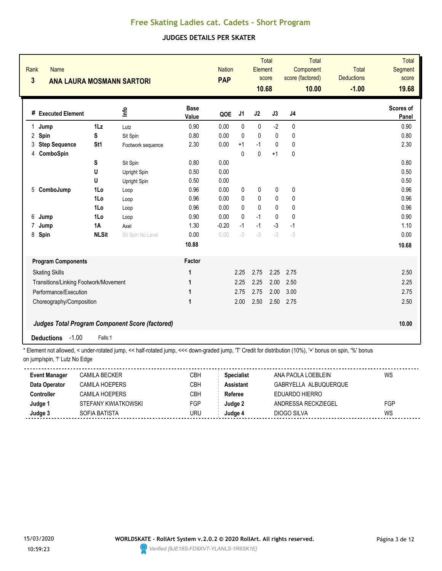### **JUDGES DETAILS PER SKATER**

| Rank<br>Name<br>$\overline{\mathbf{3}}$<br><b>ANA LAURA MOSMANN SARTORI</b> |                                                                                                                                                                |                   |                      | <b>PAP</b> | <b>Total</b><br><b>Nation</b><br>Element<br>score<br>10.68 |              | <b>Total</b><br>Component<br>score (factored)<br>10.00 | <b>Total</b><br><b>Deductions</b><br>$-1.00$ | Total<br>Segment<br>score<br>19.68 |                    |  |
|-----------------------------------------------------------------------------|----------------------------------------------------------------------------------------------------------------------------------------------------------------|-------------------|----------------------|------------|------------------------------------------------------------|--------------|--------------------------------------------------------|----------------------------------------------|------------------------------------|--------------------|--|
| # Executed Element                                                          |                                                                                                                                                                | lnfo              | <b>Base</b><br>Value | QOE        | J1                                                         | J2           | J3                                                     | J <sub>4</sub>                               |                                    | Scores of<br>Panel |  |
| $\mathbf{1}$<br>Jump                                                        | $1\mathsf{L}z$                                                                                                                                                 | Lutz              | 0.90                 | 0.00       | $\mathbf{0}$                                               | 0            | $-2$                                                   | 0                                            |                                    | 0.90               |  |
| 2<br>Spin                                                                   | S                                                                                                                                                              | Sit Spin          | 0.80                 | 0.00       | $\mathbf{0}$                                               | $\pmb{0}$    | $\pmb{0}$                                              | 0                                            |                                    | 0.80               |  |
| <b>Step Sequence</b><br>3                                                   | St1                                                                                                                                                            | Footwork sequence | 2.30                 | 0.00       | $+1$                                                       | $-1$         | $\pmb{0}$                                              | $\pmb{0}$                                    |                                    | 2.30               |  |
| ComboSpin<br>4                                                              |                                                                                                                                                                |                   |                      |            | $\Omega$                                                   | $\mathbf{0}$ | $+1$                                                   | $\mathbf{0}$                                 |                                    |                    |  |
|                                                                             | S                                                                                                                                                              | Sit Spin          | 0.80                 | 0.00       |                                                            |              |                                                        |                                              |                                    | 0.80               |  |
|                                                                             | U                                                                                                                                                              | Upright Spin      | 0.50                 | 0.00       |                                                            |              |                                                        |                                              |                                    | 0.50               |  |
|                                                                             | U                                                                                                                                                              | Upright Spin      | 0.50                 | 0.00       |                                                            |              |                                                        |                                              |                                    | 0.50               |  |
| ComboJump<br>5                                                              | 1Lo                                                                                                                                                            | Loop              | 0.96                 | 0.00       | 0                                                          | 0            | 0                                                      | 0                                            |                                    | 0.96               |  |
|                                                                             | 1Lo                                                                                                                                                            | Loop              | 0.96                 | 0.00       | $\mathbf{0}$                                               | 0            | 0                                                      | 0                                            |                                    | 0.96               |  |
|                                                                             | 1Lo                                                                                                                                                            | Loop              | 0.96                 | 0.00       | $\mathbf{0}$                                               | $\mathbf{0}$ | $\mathbf{0}$                                           | 0                                            |                                    | 0.96               |  |
| 6<br>Jump                                                                   | 1Lo                                                                                                                                                            | Loop              | 0.90                 | 0.00       | $\Omega$                                                   | $-1$         | $\mathbf{0}$                                           | 0                                            |                                    | 0.90               |  |
| 7<br>Jump                                                                   | 1A                                                                                                                                                             | Axel              | 1.30                 | $-0.20$    | $-1$                                                       | $-1$         | $-3$                                                   | $-1$                                         |                                    | 1.10               |  |
| 8<br>Spin                                                                   | <b>NLSit</b>                                                                                                                                                   | Sit Spin No Level | 0.00                 | 0.00       | $-3$                                                       | $-3$         | $-3$                                                   | $-3$                                         |                                    | 0.00               |  |
|                                                                             |                                                                                                                                                                |                   | 10.88                |            |                                                            |              |                                                        |                                              |                                    | 10.68              |  |
| <b>Program Components</b>                                                   |                                                                                                                                                                |                   | Factor               |            |                                                            |              |                                                        |                                              |                                    |                    |  |
| <b>Skating Skills</b>                                                       |                                                                                                                                                                |                   | 1                    |            | 2.25                                                       | 2.75         | 2.25                                                   | 2.75                                         |                                    | 2.50               |  |
| Transitions/Linking Footwork/Movement                                       |                                                                                                                                                                |                   | 1                    |            | 2.25                                                       | 2.25         | 2.00                                                   | 2.50                                         |                                    | 2.25               |  |
| Performance/Execution                                                       |                                                                                                                                                                |                   | 1                    |            | 2.75                                                       | 2.75         | 2.00                                                   | 3.00                                         |                                    | 2.75               |  |
| Choreography/Composition                                                    |                                                                                                                                                                |                   | 1                    |            | 2.00                                                       | 2.50         | 2.50                                                   | 2.75                                         |                                    | 2.50               |  |
| <b>Judges Total Program Component Score (factored)</b>                      |                                                                                                                                                                |                   |                      |            |                                                            |              |                                                        |                                              |                                    | 10.00              |  |
| $-1.00$<br><b>Deductions</b>                                                | Falls:1<br>* Element not ellowed zunder retated jump zz bolf retated jump zzz dewn aroded jump IT! Credit for distribution (100/) Jul benye en epip 10/1 benye |                   |                      |            |                                                            |              |                                                        |                                              |                                    |                    |  |

| <b>Event Manager</b> | CAMILA BECKER       | СВН        | <b>Specialist</b> | ANA PAOLA LOEBLEIN    | WS  |
|----------------------|---------------------|------------|-------------------|-----------------------|-----|
| Data Operator        | CAMILA HOFPFRS      | СВН        | Assistant         | GABRYELLA ALBUQUERQUE |     |
| Controller           | CAMII A HOFPFRS     | СВН        | Referee           | FDUARDO HIFRRO        |     |
| Judge 1              | STEFANY KWIATKOWSKI | <b>FGP</b> | Judae 2           | ANDRESSA RECKZIEGEL   | FGP |
| Judge 3              | SOFIA BATISTA       | URU        | Judge 4           | DIOGO SILVA           | WS  |
|                      |                     |            |                   |                       |     |

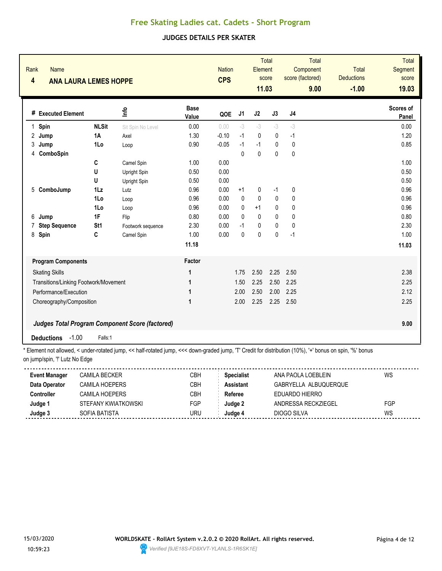### **JUDGES DETAILS PER SKATER**

| Rank<br>Name<br>$\overline{\mathbf{4}}$<br><b>ANA LAURA LEMES HOPPE</b> |                          | <b>Nation</b><br><b>CPS</b> |                      | <b>Total</b><br>Element<br>score<br>11.03 |              | <b>Total</b><br>Component<br>score (factored)<br>9.00 |              | <b>Total</b><br><b>Deductions</b><br>$-1.00$ | <b>Total</b><br><b>Segment</b><br>score<br>19.03 |  |                    |
|-------------------------------------------------------------------------|--------------------------|-----------------------------|----------------------|-------------------------------------------|--------------|-------------------------------------------------------|--------------|----------------------------------------------|--------------------------------------------------|--|--------------------|
| # Executed Element                                                      |                          | <u>nfo</u>                  | <b>Base</b><br>Value | QOE                                       | J1           | J2                                                    | J3           | J <sub>4</sub>                               |                                                  |  | Scores of<br>Panel |
| Spin<br>1                                                               | <b>NLSit</b>             | Sit Spin No Level           | 0.00                 | 0.00                                      | $-3$         | $-3$                                                  | $-3$         | $-3$                                         |                                                  |  | 0.00               |
| 2<br>Jump                                                               | 1A                       | Axel                        | 1.30                 | $-0.10$                                   | $-1$         | 0                                                     | 0            | $-1$                                         |                                                  |  | 1.20               |
| 3<br>Jump                                                               | 1Lo                      | Loop                        | 0.90                 | $-0.05$                                   | $-1$         | $-1$                                                  | $\mathbf 0$  | $\mathbf 0$                                  |                                                  |  | 0.85               |
| ComboSpin<br>4                                                          |                          |                             |                      |                                           | $\mathbf{0}$ | $\mathbf 0$                                           | 0            | 0                                            |                                                  |  |                    |
|                                                                         | C                        | Camel Spin                  | 1.00                 | 0.00                                      |              |                                                       |              |                                              |                                                  |  | 1.00               |
|                                                                         | U                        | Upright Spin                | 0.50                 | 0.00                                      |              |                                                       |              |                                              |                                                  |  | 0.50               |
|                                                                         | U                        | Upright Spin                | 0.50                 | 0.00                                      |              |                                                       |              |                                              |                                                  |  | 0.50               |
| ComboJump<br>5                                                          | 1Lz                      | Lutz                        | 0.96                 | 0.00                                      | $+1$         | 0                                                     | -1           | 0                                            |                                                  |  | 0.96               |
|                                                                         | 1Lo                      | Loop                        | 0.96                 | 0.00                                      | $\mathbf{0}$ | $\mathbf{0}$                                          | 0            | 0                                            |                                                  |  | 0.96               |
|                                                                         | 1Lo                      | Loop                        | 0.96                 | 0.00                                      | 0            | $+1$                                                  | 0            | 0                                            |                                                  |  | 0.96               |
| 6<br>Jump                                                               | 1F                       | Flip                        | 0.80                 | 0.00                                      | $\Omega$     | $\mathbf{0}$                                          | $\mathbf{0}$ | 0                                            |                                                  |  | 0.80               |
| <b>Step Sequence</b>                                                    | St <sub>1</sub>          | Footwork sequence           | 2.30                 | 0.00                                      | $-1$         | 0                                                     | 0            | $\mathbf{0}$                                 |                                                  |  | 2.30               |
| Spin<br>8                                                               | C                        | Camel Spin                  | 1.00                 | 0.00                                      | $\mathbf 0$  | $\mathbf 0$                                           | 0            | $-1$                                         |                                                  |  | 1.00               |
|                                                                         |                          |                             | 11.18                |                                           |              |                                                       |              |                                              |                                                  |  | 11.03              |
| <b>Program Components</b>                                               |                          |                             | Factor               |                                           |              |                                                       |              |                                              |                                                  |  |                    |
| <b>Skating Skills</b>                                                   |                          |                             | 1                    |                                           | 1.75         | 2.50                                                  | 2.25         | 2.50                                         |                                                  |  | 2.38               |
| Transitions/Linking Footwork/Movement                                   |                          |                             | 1                    |                                           | 1.50         | 2.25                                                  | 2.50         | 2.25                                         |                                                  |  | 2.25               |
| Performance/Execution                                                   |                          |                             | 1                    |                                           | 2.00         | 2.50                                                  | 2.00         | 2.25                                         |                                                  |  | 2.12               |
|                                                                         |                          |                             | 1                    |                                           | 2.00         | 2.25                                                  | 2.25         | 2.50                                         |                                                  |  | 2.25               |
|                                                                         | Choreography/Composition |                             |                      |                                           |              |                                                       |              |                                              |                                                  |  |                    |
| Judges Total Program Component Score (factored)<br>9.00                 |                          |                             |                      |                                           |              |                                                       |              |                                              |                                                  |  |                    |
| $-1.00$<br><b>Deductions</b>                                            | Falls:1                  |                             |                      |                                           |              |                                                       |              |                                              |                                                  |  |                    |

| <b>Event Manager</b> | <b>CAMILA BECKER</b> | СВН | <b>Specialist</b> | ANA PAOLA LOEBLEIN    | WS  |
|----------------------|----------------------|-----|-------------------|-----------------------|-----|
| Data Operator        | CAMILA HOFPFRS       | CBH | <b>Assistant</b>  | GABRYELLA ALBUQUERQUE |     |
| Controller           | CAMILA HOFPFRS       | СВН | Referee           | FDUARDO HIFRRO        |     |
| Judge 1              | STEFANY KWIATKOWSKI  | FGP | Judge 2           | ANDRESSA RECKZIEGEL   | FGP |
| Judge 3              | SOFIA BATISTA        | JRU | Judqe⊿            | DIOGO SILVA           | WS  |
|                      |                      |     |                   |                       |     |

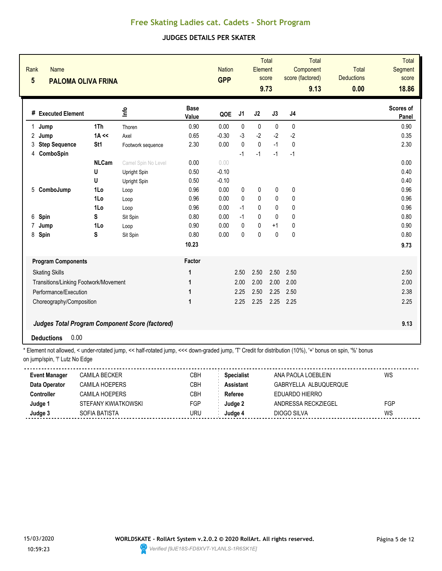### **JUDGES DETAILS PER SKATER**

| Rank<br>$5\phantom{.0}$ | <b>Name</b><br><b>PALOMA OLIVA FRINA</b> |              |                                                 |                      | <b>Nation</b><br><b>GPP</b> |                | Element      | <b>Total</b><br>score<br>9.73 | <b>Total</b><br>Component<br>score (factored)<br>9.13 | <b>Total</b><br><b>Deductions</b><br>0.00 | <b>Total</b><br><b>Segment</b><br>score<br>18.86 |
|-------------------------|------------------------------------------|--------------|-------------------------------------------------|----------------------|-----------------------------|----------------|--------------|-------------------------------|-------------------------------------------------------|-------------------------------------------|--------------------------------------------------|
|                         | # Executed Element                       |              | ١f٥                                             | <b>Base</b><br>Value | QOE                         | J <sub>1</sub> | J2           | J3                            | J <sub>4</sub>                                        |                                           | Scores of<br>Panel                               |
| $\mathbf{1}$            | Jump                                     | 1Th          | Thoren                                          | 0.90                 | 0.00                        | $\mathbf{0}$   | $\mathbf 0$  | $\mathbf{0}$                  | $\mathbf{0}$                                          |                                           | 0.90                                             |
| 2                       | Jump                                     | $1A \ll$     | Axel                                            | 0.65                 | $-0.30$                     | $-3$           | $-2$         | $-2$                          | $-2$                                                  |                                           | 0.35                                             |
| 3                       | <b>Step Sequence</b>                     | St1          | Footwork sequence                               | 2.30                 | 0.00                        | $\mathbf{0}$   | $\mathbf{0}$ | $-1$                          | $\mathbf{0}$                                          |                                           | 2.30                                             |
| 4                       | ComboSpin                                |              |                                                 |                      |                             | $-1$           | $-1$         | $-1$                          | $-1$                                                  |                                           |                                                  |
|                         |                                          | <b>NLCam</b> | Camel Spin No Level                             | 0.00                 | 0.00                        |                |              |                               |                                                       |                                           | 0.00                                             |
|                         |                                          | U            | Upright Spin                                    | 0.50                 | $-0.10$                     |                |              |                               |                                                       |                                           | 0.40                                             |
|                         |                                          | U            | Upright Spin                                    | 0.50                 | $-0.10$                     |                |              |                               |                                                       |                                           | 0.40                                             |
| 5                       | ComboJump                                | 1Lo          | Loop                                            | 0.96                 | 0.00                        | 0              | 0            | 0                             | 0                                                     |                                           | 0.96                                             |
|                         |                                          | 1Lo          | Loop                                            | 0.96                 | 0.00                        | $\mathbf{0}$   | 0            | 0                             | 0                                                     |                                           | 0.96                                             |
|                         |                                          | 1Lo          | Loop                                            | 0.96                 | 0.00                        | $-1$           | $\mathbf{0}$ | 0                             | 0                                                     |                                           | 0.96                                             |
| 6                       | Spin                                     | S            | Sit Spin                                        | 0.80                 | 0.00                        | $-1$           | 0            | $\mathbf{0}$                  | 0                                                     |                                           | 0.80                                             |
| 7                       | Jump                                     | 1Lo          | Loop                                            | 0.90                 | 0.00                        | $\mathbf{0}$   | $\mathbf{0}$ | $+1$                          | 0                                                     |                                           | 0.90                                             |
| 8                       | Spin                                     | S            | Sit Spin                                        | 0.80                 | 0.00                        | 0              | $\pmb{0}$    | $\pmb{0}$                     | 0                                                     |                                           | 0.80                                             |
|                         |                                          |              |                                                 | 10.23                |                             |                |              |                               |                                                       |                                           | 9.73                                             |
|                         | <b>Program Components</b>                |              |                                                 | Factor               |                             |                |              |                               |                                                       |                                           |                                                  |
|                         | <b>Skating Skills</b>                    |              |                                                 | 1                    |                             | 2.50           | 2.50         | 2.50                          | 2.50                                                  |                                           | 2.50                                             |
|                         | Transitions/Linking Footwork/Movement    |              |                                                 | 1                    |                             | 2.00           | 2.00         | 2.00                          | 2.00                                                  |                                           | 2.00                                             |
|                         | Performance/Execution                    |              |                                                 | 1                    |                             | 2.25           | 2.50         | 2.25                          | 2.50                                                  |                                           | 2.38                                             |
|                         | Choreography/Composition                 |              |                                                 | 1                    |                             | 2.25           | 2.25         | 2.25                          | 2.25                                                  |                                           | 2.25                                             |
|                         |                                          |              | Judges Total Program Component Score (factored) |                      |                             |                |              |                               |                                                       |                                           | 9.13                                             |
|                         | 0.00<br><b>Deductions</b>                |              |                                                 |                      |                             |                |              |                               |                                                       |                                           |                                                  |

| <b>Event Manager</b> | CAMILA BECKER       | СВН | <b>Specialist</b> | ANA PAOLA LOEBLEIN    | WS  |
|----------------------|---------------------|-----|-------------------|-----------------------|-----|
| Data Operator        | CAMILA HOFPFRS      | СВН | Assistant         | GABRYELLA ALBUQUERQUE |     |
| Controller           | CAMII A HOFPFRS     | СВН | Referee           | FDUARDO HIFRRO        |     |
| Judge 1              | STEFANY KWIATKOWSKI | FGP | Judae 2           | ANDRESSA RECKZIEGEL   | FGP |
| Judge 3              | SOFIA BATISTA       | URU | Judge 4           | DIOGO SILVA           | WS  |
|                      |                     |     |                   |                       |     |

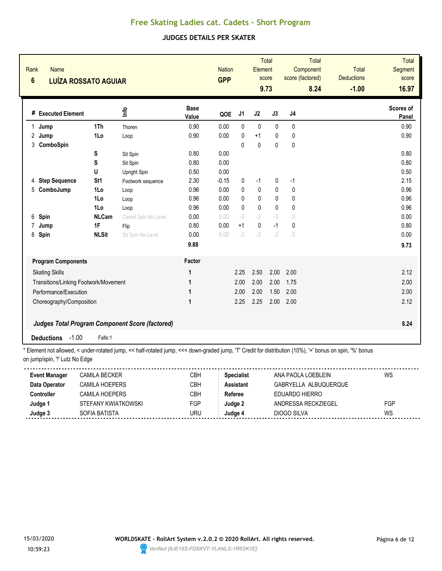### **JUDGES DETAILS PER SKATER**

| Rank<br>$6\phantom{a}$ | <b>Name</b><br><b>LUÍZA ROSSATO AGUIAR</b>              |                 |                     |                      | <b>Nation</b><br><b>GPP</b> |                | <b>Total</b><br>Element<br>score<br>9.73 |              | <b>Total</b><br>Component<br>score (factored)<br>8.24 | <b>Total</b><br><b>Deductions</b><br>$-1.00$ | <b>Total</b><br><b>Segment</b><br>score<br>16.97 |
|------------------------|---------------------------------------------------------|-----------------|---------------------|----------------------|-----------------------------|----------------|------------------------------------------|--------------|-------------------------------------------------------|----------------------------------------------|--------------------------------------------------|
|                        | # Executed Element                                      |                 | <u>lnfo</u>         | <b>Base</b><br>Value | QOE                         | J <sub>1</sub> | J2                                       | J3           | J <sub>4</sub>                                        |                                              | Scores of<br>Panel                               |
| $\mathbf{1}$<br>Jump   |                                                         | 1Th             | Thoren              | 0.90                 | 0.00                        | $\mathbf{0}$   | $\mathbf 0$                              | $\mathbf 0$  | $\mathbf{0}$                                          |                                              | 0.90                                             |
| $\mathbf{2}$<br>Jump   |                                                         | 1Lo             | Loop                | 0.90                 | 0.00                        | 0              | $+1$                                     | 0            | 0                                                     |                                              | 0.90                                             |
| 3                      | ComboSpin                                               |                 |                     |                      |                             | $\Omega$       | $\mathbf 0$                              | $\mathbf{0}$ | $\mathbf 0$                                           |                                              |                                                  |
|                        |                                                         | S               | Sit Spin            | 0.80                 | 0.00                        |                |                                          |              |                                                       |                                              | 0.80                                             |
|                        |                                                         | S               | Sit Spin            | 0.80                 | 0.00                        |                |                                          |              |                                                       |                                              | 0.80                                             |
|                        |                                                         | U               | Upright Spin        | 0.50                 | 0.00                        |                |                                          |              |                                                       |                                              | 0.50                                             |
| 4                      | <b>Step Sequence</b>                                    | St <sub>1</sub> | Footwork sequence   | 2.30                 | $-0.15$                     | 0              | $-1$                                     | 0            | $-1$                                                  |                                              | 2.15                                             |
| 5                      | ComboJump                                               | 1Lo             | Loop                | 0.96                 | 0.00                        | 0              | 0                                        | 0            | 0                                                     |                                              | 0.96                                             |
|                        |                                                         | 1Lo             | Loop                | 0.96                 | 0.00                        | 0              | 0                                        | 0            | 0                                                     |                                              | 0.96                                             |
|                        |                                                         | 1Lo             | Loop                | 0.96                 | 0.00                        | 0              | $\pmb{0}$                                | $\mathbf 0$  | 0                                                     |                                              | 0.96                                             |
| 6<br>Spin              |                                                         | <b>NLCam</b>    | Camel Spin No Level | 0.00                 | 0.00                        | $-3$           | $-3$                                     | $-3$         | $-3$                                                  |                                              | 0.00                                             |
| 7<br>Jump              |                                                         | 1F              | Flip                | 0.80                 | 0.00                        | $+1$           | 0                                        | $-1$         | 0                                                     |                                              | 0.80                                             |
| 8<br>Spin              |                                                         | <b>NLSit</b>    | Sit Spin No Level   | 0.00                 | 0.00                        | $-3$           | $-2$                                     | $-3$         | $-3$                                                  |                                              | 0.00                                             |
|                        |                                                         |                 |                     | 9.88                 |                             |                |                                          |              |                                                       |                                              | 9.73                                             |
|                        | <b>Program Components</b>                               |                 |                     | Factor               |                             |                |                                          |              |                                                       |                                              |                                                  |
|                        | <b>Skating Skills</b>                                   |                 |                     | 1                    |                             | 2.25           | 2.50                                     | 2.00         | 2.00                                                  |                                              | 2.12                                             |
|                        | Transitions/Linking Footwork/Movement                   |                 |                     | 1                    |                             | 2.00           | 2.00                                     | 2.00         | 1.75                                                  |                                              | 2.00                                             |
|                        | Performance/Execution                                   |                 |                     | 1                    |                             | 2.00           | 2.00                                     | 1.50         | 2.00                                                  |                                              | 2.00                                             |
|                        | Choreography/Composition                                |                 |                     | 1                    |                             | 2.25           | 2.25                                     | 2.00         | 2.00                                                  |                                              | 2.12                                             |
|                        | Judges Total Program Component Score (factored)<br>8.24 |                 |                     |                      |                             |                |                                          |              |                                                       |                                              |                                                  |
| <b>Deductions</b>      | $-1.00$                                                 | Falls:1         |                     |                      |                             |                |                                          |              |                                                       |                                              |                                                  |

| <b>Event Manager</b> | <b>CAMILA BECKER</b> | СВН | <b>Specialist</b> | ANA PAOLA LOEBLEIN    | WS  |
|----------------------|----------------------|-----|-------------------|-----------------------|-----|
| Data Operator        | CAMILA HOFPFRS       | CBH | <b>Assistant</b>  | GABRYELLA ALBUQUERQUE |     |
| Controller           | CAMILA HOFPFRS       | СВН | Referee           | FDUARDO HIFRRO        |     |
| Judge 1              | STEFANY KWIATKOWSKI  | FGP | Judge 2           | ANDRESSA RECKZIEGEL   | FGP |
| Judge 3              | SOFIA BATISTA        | JRU | Judqe⊿            | DIOGO SILVA           | WS  |
|                      |                      |     |                   |                       |     |

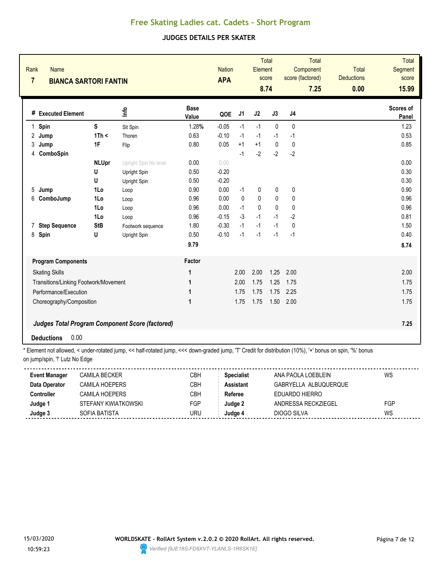### **JUDGES DETAILS PER SKATER**

| Rank<br>$\overline{7}$ | <b>Name</b><br><b>BIANCA SARTORI FANTIN</b> |              |                                                        |                      | <b>Nation</b><br><b>APA</b> |                | <b>Total</b><br>Element<br>score<br>8.74 |              | Component<br>score (factored) | <b>Total</b><br>Total<br><b>Deductions</b><br>0.00<br>7.25 | <b>Total</b><br><b>Segment</b><br>score<br>15.99 |
|------------------------|---------------------------------------------|--------------|--------------------------------------------------------|----------------------|-----------------------------|----------------|------------------------------------------|--------------|-------------------------------|------------------------------------------------------------|--------------------------------------------------|
|                        | # Executed Element                          |              | 울                                                      | <b>Base</b><br>Value | QOE                         | J <sub>1</sub> | J2                                       | J3           | J <sub>4</sub>                |                                                            | Scores of<br>Panel                               |
| $\mathbf{1}$<br>Spin   |                                             | S            | Sit Spin                                               | 1.28%                | $-0.05$                     | $-1$           | $-1$                                     | $\mathbf{0}$ | 0                             |                                                            | 1.23                                             |
| 2<br>Jump              |                                             | 1Th <        | Thoren                                                 | 0.63                 | $-0.10$                     | $-1$           | $-1$                                     | $-1$         | $-1$                          |                                                            | 0.53                                             |
| 3<br>Jump              |                                             | 1F           | Flip                                                   | 0.80                 | 0.05                        | $+1$           | $+1$                                     | $\mathbf{0}$ | $\mathbf{0}$                  |                                                            | 0.85                                             |
| 4                      | ComboSpin                                   |              |                                                        |                      |                             | $-1$           | $-2$                                     | $-2$         | $-2$                          |                                                            |                                                  |
|                        |                                             | <b>NLUpr</b> | Upright Spin No level                                  | 0.00                 | 0.00                        |                |                                          |              |                               |                                                            | 0.00                                             |
|                        |                                             | U            | Upright Spin                                           | 0.50                 | $-0.20$                     |                |                                          |              |                               |                                                            | 0.30                                             |
|                        |                                             | U            | Upright Spin                                           | 0.50                 | $-0.20$                     |                |                                          |              |                               |                                                            | 0.30                                             |
| 5<br>Jump              |                                             | 1Lo          | Loop                                                   | 0.90                 | 0.00                        | $-1$           | 0                                        | 0            | 0                             |                                                            | 0.90                                             |
| 6                      | ComboJump                                   | 1Lo          | Loop                                                   | 0.96                 | 0.00                        | $\mathbf{0}$   | 0                                        | $\mathbf{0}$ | 0                             |                                                            | 0.96                                             |
|                        |                                             | 1Lo          | Loop                                                   | 0.96                 | 0.00                        | $-1$           | $\mathbf{0}$                             | $\mathbf{0}$ | $\mathbf{0}$                  |                                                            | 0.96                                             |
|                        |                                             | 1Lo          | Loop                                                   | 0.96                 | $-0.15$                     | $-3$           | $-1$                                     | $-1$         | $-2$                          |                                                            | 0.81                                             |
| 7                      | <b>Step Sequence</b>                        | <b>StB</b>   | Footwork sequence                                      | 1.80                 | $-0.30$                     | $-1$           | $-1$                                     | $-1$         | $\mathbf{0}$                  |                                                            | 1.50                                             |
| 8<br>Spin              |                                             | U            | Upright Spin                                           | 0.50                 | $-0.10$                     | $-1$           | $-1$                                     | $-1$         | $-1$                          |                                                            | 0.40                                             |
|                        |                                             |              |                                                        | 9.79                 |                             |                |                                          |              |                               |                                                            | 8.74                                             |
|                        | <b>Program Components</b>                   |              |                                                        | Factor               |                             |                |                                          |              |                               |                                                            |                                                  |
|                        | <b>Skating Skills</b>                       |              |                                                        | 1                    |                             | 2.00           | 2.00                                     | 1.25         | 2.00                          |                                                            | 2.00                                             |
|                        | Transitions/Linking Footwork/Movement       |              |                                                        | $\mathbf{1}$         |                             | 2.00           | 1.75                                     | 1.25         | 1.75                          |                                                            | 1.75                                             |
|                        | Performance/Execution                       |              |                                                        | 1                    |                             | 1.75           | 1.75                                     | 1.75         | 2.25                          |                                                            | 1.75                                             |
|                        | Choreography/Composition                    |              |                                                        | 1                    |                             | 1.75           | 1.75                                     | 1.50         | 2.00                          |                                                            | 1.75                                             |
|                        | 0.00<br><b>Deductions</b>                   |              | <b>Judges Total Program Component Score (factored)</b> |                      |                             |                |                                          |              |                               |                                                            | 7.25                                             |

| <b>Event Manager</b> | CAMILA BECKER       | СВН        | <b>Specialist</b> | ANA PAOLA LOEBLEIN    | WS  |
|----------------------|---------------------|------------|-------------------|-----------------------|-----|
| Data Operator        | CAMILA HOFPFRS      | СВН        | Assistant         | GABRYELLA ALBUQUERQUE |     |
| Controller           | CAMII A HOFPFRS     | СВН        | Referee           | FDUARDO HIFRRO        |     |
| Judge 1              | STEFANY KWIATKOWSKI | <b>FGP</b> | Judae 2           | ANDRESSA RECKZIEGEL   | FGP |
| Judge 3              | SOFIA BATISTA       | URU        | Judge 4           | DIOGO SILVA           | WS  |
|                      |                     |            |                   |                       |     |

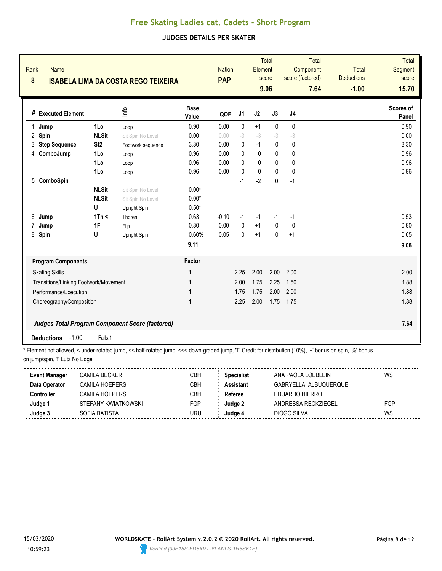### **JUDGES DETAILS PER SKATER**

| Rank<br>$\boldsymbol{8}$ | <b>Name</b><br><b>ISABELA LIMA DA COSTA REGO TEIXEIRA</b> |                 |                   |                      | <b>Nation</b><br><b>PAP</b> | Total<br>Element<br>score<br>9.06 |              |              | <b>Total</b><br>Component<br>score (factored)<br>7.64 |  | <b>Total</b><br><b>Deductions</b><br>$-1.00$ | <b>Total</b><br><b>Segment</b><br>score<br>15.70 |
|--------------------------|-----------------------------------------------------------|-----------------|-------------------|----------------------|-----------------------------|-----------------------------------|--------------|--------------|-------------------------------------------------------|--|----------------------------------------------|--------------------------------------------------|
|                          | # Executed Element                                        |                 | <u>Info</u>       | <b>Base</b><br>Value | QOE                         | J1                                | J2           | J3           | J <sub>4</sub>                                        |  |                                              | Scores of<br>Panel                               |
| 1.<br>Jump               |                                                           | 1Lo             | Loop              | 0.90                 | 0.00                        | 0                                 | $+1$         | $\pmb{0}$    | $\pmb{0}$                                             |  |                                              | 0.90                                             |
| 2<br>Spin                |                                                           | <b>NLSit</b>    | Sit Spin No Level | 0.00                 | 0.00                        | $-3$                              | $-3$         | $-3$         | $-3$                                                  |  |                                              | 0.00                                             |
| 3                        | <b>Step Sequence</b>                                      | St <sub>2</sub> | Footwork sequence | 3.30                 | 0.00                        | $\mathbf{0}$                      | $-1$         | $\mathbf 0$  | $\mathbf 0$                                           |  |                                              | 3.30                                             |
|                          | 4 ComboJump                                               | 1Lo             | Loop              | 0.96                 | 0.00                        | $\Omega$                          | $\mathbf{0}$ | $\mathbf{0}$ | 0                                                     |  |                                              | 0.96                                             |
|                          |                                                           | 1Lo             | Loop              | 0.96                 | 0.00                        | $\Omega$                          | 0            | $\mathbf{0}$ | 0                                                     |  |                                              | 0.96                                             |
|                          |                                                           | 1Lo             | Loop              | 0.96                 | 0.00                        | $\mathbf 0$                       | $\pmb{0}$    | 0            | $\mathbf{0}$                                          |  |                                              | 0.96                                             |
| 5                        | ComboSpin                                                 |                 |                   |                      |                             | $-1$                              | $-2$         | $\pmb{0}$    | $-1$                                                  |  |                                              |                                                  |
|                          |                                                           | <b>NLSit</b>    | Sit Spin No Level | $0.00*$              |                             |                                   |              |              |                                                       |  |                                              |                                                  |
|                          |                                                           | <b>NLSit</b>    | Sit Spin No Level | $0.00*$              |                             |                                   |              |              |                                                       |  |                                              |                                                  |
|                          |                                                           | U               | Upright Spin      | $0.50*$              |                             |                                   |              |              |                                                       |  |                                              |                                                  |
| 6<br>Jump                |                                                           | 1Th <           | Thoren            | 0.63                 | $-0.10$                     | $-1$                              | $-1$         | $-1$         | $-1$                                                  |  |                                              | 0.53                                             |
| 7<br>Jump                |                                                           | 1F              | Flip              | 0.80                 | 0.00                        | $\mathbf{0}$                      | $+1$         | $\mathbf 0$  | $\mathbf 0$                                           |  |                                              | 0.80                                             |
| 8<br>Spin                |                                                           | U               | Upright Spin      | 0.60%                | 0.05                        | $\mathbf{0}$                      | $+1$         | $\mathbf{0}$ | $+1$                                                  |  |                                              | 0.65                                             |
|                          |                                                           |                 |                   | 9.11                 |                             |                                   |              |              |                                                       |  |                                              | 9.06                                             |
|                          | <b>Program Components</b>                                 |                 |                   | Factor               |                             |                                   |              |              |                                                       |  |                                              |                                                  |
|                          | <b>Skating Skills</b>                                     |                 |                   | 1                    |                             | 2.25                              | 2.00         | 2.00         | 2.00                                                  |  |                                              | 2.00                                             |
|                          | Transitions/Linking Footwork/Movement                     |                 |                   | 1                    |                             | 2.00                              | 1.75         | 2.25         | 1.50                                                  |  |                                              | 1.88                                             |
|                          | Performance/Execution                                     |                 |                   | 1                    |                             | 1.75                              | 1.75         | 2.00         | 2.00                                                  |  |                                              | 1.88                                             |
|                          | Choreography/Composition                                  |                 |                   | 1                    |                             | 2.25                              | 2.00         | 1.75         | 1.75                                                  |  |                                              | 1.88                                             |
|                          | <b>Judges Total Program Component Score (factored)</b>    |                 |                   |                      |                             |                                   |              |              |                                                       |  |                                              | 7.64                                             |
| <b>Deductions</b>        | $-1.00$                                                   | Falls:1         |                   |                      |                             |                                   |              |              |                                                       |  |                                              |                                                  |

| <b>Event Manager</b> | <b>CAMILA BECKER</b> | СВН        | <b>Specialist</b> | ANA PAOLA LOEBLEIN    | WS  |
|----------------------|----------------------|------------|-------------------|-----------------------|-----|
| Data Operator        | CAMILA HOFPFRS       | CBH        | <b>Assistant</b>  | GABRYELLA ALBUQUERQUE |     |
| Controller           | CAMILA HOFPFRS       | СВН        | Referee           | FDUARDO HIFRRO        |     |
| Judge 1              | STEFANY KWIATKOWSKI  | <b>FGP</b> | Judge 2           | ANDRESSA RECKZIEGEL   | FGP |
| Judge 3              | SOFIA BATISTA        | JRU        | Judqe⊿            | DIOGO SILVA           | WS  |
|                      |                      |            |                   |                       |     |

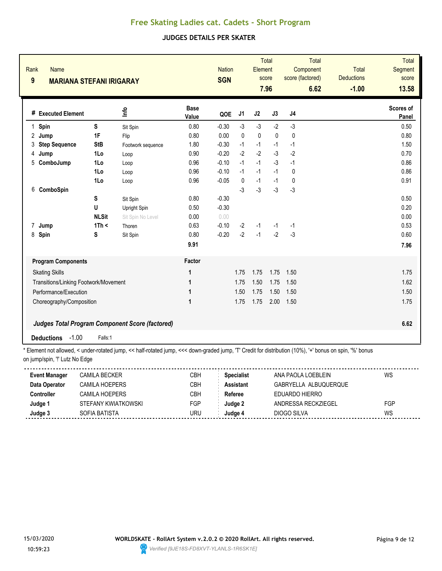### **JUDGES DETAILS PER SKATER**

| Rank<br><b>Name</b><br>$\boldsymbol{9}$<br><b>MARIANA STEFANI IRIGARAY</b> |              |                                                                                   |                      | <b>Nation</b><br><b>SGN</b> |                | Element   | <b>Total</b><br>score<br>7.96 | Component<br>score (factored)                                                                                                                                                                                                                                                                    | Total<br>6.62 | <b>Total</b><br><b>Deductions</b><br>$-1.00$ | <b>Total</b><br><b>Segment</b><br>score<br>13.58 |
|----------------------------------------------------------------------------|--------------|-----------------------------------------------------------------------------------|----------------------|-----------------------------|----------------|-----------|-------------------------------|--------------------------------------------------------------------------------------------------------------------------------------------------------------------------------------------------------------------------------------------------------------------------------------------------|---------------|----------------------------------------------|--------------------------------------------------|
| # Executed Element                                                         |              | ۴ů                                                                                | <b>Base</b><br>Value | QOE                         | J <sub>1</sub> | J2        | J3                            | J <sub>4</sub>                                                                                                                                                                                                                                                                                   |               |                                              | Scores of<br>Panel                               |
| $\mathbf{1}$<br>Spin                                                       | S            | Sit Spin                                                                          | 0.80                 | $-0.30$                     | $-3$           | $-3$      | $-2$                          | $-3$                                                                                                                                                                                                                                                                                             |               |                                              | 0.50                                             |
| 2<br>Jump                                                                  | 1F           | Flip                                                                              | 0.80                 | 0.00                        | $\mathbf{0}$   | $\pmb{0}$ | $\mathbf{0}$                  | 0                                                                                                                                                                                                                                                                                                |               |                                              | 0.80                                             |
| <b>Step Sequence</b><br>3                                                  | <b>StB</b>   | Footwork sequence                                                                 | 1.80                 | $-0.30$                     | $-1$           | $-1$      | $-1$                          | $-1$                                                                                                                                                                                                                                                                                             |               |                                              | 1.50                                             |
| Jump<br>4                                                                  | 1Lo          | Loop                                                                              | 0.90                 | $-0.20$                     | $-2$           | $-2$      | $-3$                          | $-2$                                                                                                                                                                                                                                                                                             |               |                                              | 0.70                                             |
| 5<br>ComboJump                                                             | 1Lo          | Loop                                                                              | 0.96                 | $-0.10$                     | $-1$           | $-1$      | $-3$                          | $-1$                                                                                                                                                                                                                                                                                             |               |                                              | 0.86                                             |
|                                                                            | 1Lo          | Loop                                                                              | 0.96                 | $-0.10$                     | $-1$           | $-1$      | $-1$                          | $\mathbf{0}$                                                                                                                                                                                                                                                                                     |               |                                              | 0.86                                             |
|                                                                            | 1Lo          | Loop                                                                              | 0.96                 | $-0.05$                     | 0              | $-1$      | $-1$                          | 0                                                                                                                                                                                                                                                                                                |               |                                              | 0.91                                             |
| ComboSpin<br>6                                                             |              |                                                                                   |                      |                             | $-3$           | $-3$      | $-3$                          | $-3$                                                                                                                                                                                                                                                                                             |               |                                              |                                                  |
|                                                                            | S            | Sit Spin                                                                          | 0.80                 | $-0.30$                     |                |           |                               |                                                                                                                                                                                                                                                                                                  |               |                                              | 0.50                                             |
|                                                                            | U            | Upright Spin                                                                      | 0.50                 | $-0.30$                     |                |           |                               |                                                                                                                                                                                                                                                                                                  |               |                                              | 0.20                                             |
|                                                                            | <b>NLSit</b> | Sit Spin No Level                                                                 | 0.00                 | 0.00                        |                |           |                               |                                                                                                                                                                                                                                                                                                  |               |                                              | 0.00                                             |
| 7 Jump                                                                     | 1Th <        | Thoren                                                                            | 0.63                 | $-0.10$                     | $-2$           | $-1$      | $-1$                          | $-1$                                                                                                                                                                                                                                                                                             |               |                                              | 0.53                                             |
| 8<br>Spin                                                                  | S            | Sit Spin                                                                          | 0.80                 | $-0.20$                     | $-2$           | $-1$      | $-2$                          | $-3$                                                                                                                                                                                                                                                                                             |               |                                              | 0.60                                             |
|                                                                            |              |                                                                                   | 9.91                 |                             |                |           |                               |                                                                                                                                                                                                                                                                                                  |               |                                              | 7.96                                             |
| <b>Program Components</b>                                                  |              |                                                                                   | Factor               |                             |                |           |                               |                                                                                                                                                                                                                                                                                                  |               |                                              |                                                  |
| <b>Skating Skills</b>                                                      |              |                                                                                   | 1                    |                             | 1.75           | 1.75      | 1.75                          | 1.50                                                                                                                                                                                                                                                                                             |               |                                              | 1.75                                             |
| Transitions/Linking Footwork/Movement                                      |              |                                                                                   | 1                    |                             | 1.75           | 1.50      | 1.75                          | 1.50                                                                                                                                                                                                                                                                                             |               |                                              | 1.62                                             |
| Performance/Execution                                                      |              |                                                                                   | 1                    |                             | 1.50           | 1.75      | 1.50                          | 1.50                                                                                                                                                                                                                                                                                             |               |                                              | 1.50                                             |
| Choreography/Composition                                                   |              |                                                                                   | 1                    |                             | 1.75           | 1.75      | 2.00                          | 1.50                                                                                                                                                                                                                                                                                             |               |                                              | 1.75                                             |
|                                                                            |              |                                                                                   |                      |                             |                |           |                               |                                                                                                                                                                                                                                                                                                  |               |                                              |                                                  |
|                                                                            |              | <b>Judges Total Program Component Score (factored)</b>                            |                      |                             |                |           |                               |                                                                                                                                                                                                                                                                                                  |               |                                              | 6.62                                             |
| $-1.00$<br><b>Deductions</b><br>$*$ Figure                                 | Falls:1      | ومراسيهم والمراجات والمستنزل المستشفين فالمسارحات والمستنزل المستشفين والمستنزعين |                      |                             |                |           |                               | $\mathbf{I}$ and $\mathbf{I}$ and $\mathbf{I}$ and $\mathbf{I}$ and $\mathbf{I}$ and $\mathbf{I}$ and $\mathbf{I}$ and $\mathbf{I}$ and $\mathbf{I}$ and $\mathbf{I}$ and $\mathbf{I}$ and $\mathbf{I}$ and $\mathbf{I}$ and $\mathbf{I}$ and $\mathbf{I}$ and $\mathbf{I}$ and $\mathbf{I}$ and |               | 10/1 h                                       |                                                  |

| <b>Event Manager</b> | <b>CAMILA BECKER</b> | СВН        | <b>Specialist</b> | ANA PAOLA LOEBLEIN    | WS  |
|----------------------|----------------------|------------|-------------------|-----------------------|-----|
| Data Operator        | CAMILA HOFPFRS       | CBH        | <b>Assistant</b>  | GABRYELLA ALBUQUERQUE |     |
| Controller           | CAMILA HOFPFRS       | СВН        | Referee           | FDUARDO HIFRRO        |     |
| Judge 1              | STEFANY KWIATKOWSKI  | <b>FGP</b> | Judge 2           | ANDRESSA RECKZIEGEL   | FGP |
| Judge 3              | SOFIA BATISTA        | JRU        | Judqe⊿            | DIOGO SILVA           | WS  |
|                      |                      |            |                   |                       |     |

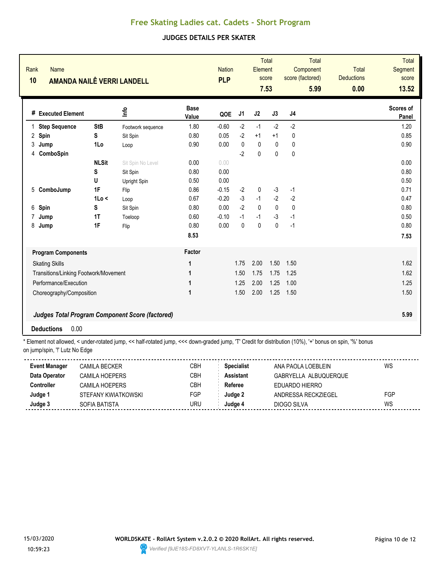### **JUDGES DETAILS PER SKATER**

| Rank<br><b>Name</b><br>10             | AMANDA NAILÊ VERRI LANDELL                             |                   |                      | <b>Nation</b><br><b>PLP</b> |              | Element      | <b>Total</b><br>score<br>7.53 | Component<br>score (factored) | Total<br>5.99 | <b>Total</b><br><b>Deductions</b><br>0.00 | <b>Total</b><br><b>Segment</b><br>score<br>13.52 |
|---------------------------------------|--------------------------------------------------------|-------------------|----------------------|-----------------------------|--------------|--------------|-------------------------------|-------------------------------|---------------|-------------------------------------------|--------------------------------------------------|
| # Executed Element                    |                                                        | ۴ů                | <b>Base</b><br>Value | QOE                         | J1           | J2           | J3                            | J <sub>4</sub>                |               |                                           | Scores of<br>Panel                               |
| <b>Step Sequence</b><br>1             | <b>StB</b>                                             | Footwork sequence | 1.80                 | $-0.60$                     | $-2$         | $-1$         | $-2$                          | $-2$                          |               |                                           | 1.20                                             |
| 2<br>Spin                             | S                                                      | Sit Spin          | 0.80                 | 0.05                        | $-2$         | $+1$         | $+1$                          | 0                             |               |                                           | 0.85                                             |
| 3<br>Jump                             | 1Lo                                                    | Loop              | 0.90                 | 0.00                        | $\mathbf{0}$ | $\pmb{0}$    | $\mathbf{0}$                  | $\mathbf{0}$                  |               |                                           | 0.90                                             |
| ComboSpin<br>4                        |                                                        |                   |                      |                             | $-2$         | 0            | 0                             | $\mathbf{0}$                  |               |                                           |                                                  |
|                                       | <b>NLSit</b>                                           | Sit Spin No Level | 0.00                 | 0.00                        |              |              |                               |                               |               |                                           | 0.00                                             |
|                                       | S                                                      | Sit Spin          | 0.80                 | 0.00                        |              |              |                               |                               |               |                                           | 0.80                                             |
|                                       | U                                                      | Upright Spin      | 0.50                 | 0.00                        |              |              |                               |                               |               |                                           | 0.50                                             |
| 5<br>ComboJump                        | 1F                                                     | Flip              | 0.86                 | $-0.15$                     | $-2$         | 0            | $-3$                          | $-1$                          |               |                                           | 0.71                                             |
|                                       | 1Lo <                                                  | Loop              | 0.67                 | $-0.20$                     | $-3$         | $-1$         | $-2$                          | $-2$                          |               |                                           | 0.47                                             |
| 6<br>Spin                             | S                                                      | Sit Spin          | 0.80                 | 0.00                        | $-2$         | $\mathbf 0$  | $\mathbf{0}$                  | $\mathbf 0$                   |               |                                           | 0.80                                             |
| 7<br>Jump                             | 1T                                                     | Toeloop           | 0.60                 | $-0.10$                     | $-1$         | $-1$         | $-3$                          | $-1$                          |               |                                           | 0.50                                             |
| 8<br>Jump                             | 1F                                                     | Flip              | 0.80                 | 0.00                        | 0            | $\mathbf{0}$ | $\mathbf 0$                   | $-1$                          |               |                                           | 0.80                                             |
|                                       |                                                        |                   | 8.53                 |                             |              |              |                               |                               |               |                                           | 7.53                                             |
| <b>Program Components</b>             |                                                        |                   | Factor               |                             |              |              |                               |                               |               |                                           |                                                  |
| <b>Skating Skills</b>                 |                                                        |                   | 1                    |                             | 1.75         | 2.00         | 1.50                          | 1.50                          |               |                                           | 1.62                                             |
| Transitions/Linking Footwork/Movement |                                                        |                   | 1                    |                             | 1.50         | 1.75         | 1.75                          | 1.25                          |               |                                           | 1.62                                             |
| Performance/Execution                 |                                                        |                   | 1                    |                             | 1.25         | 2.00         | 1.25                          | 1.00                          |               |                                           | 1.25                                             |
| Choreography/Composition              |                                                        |                   | 1                    |                             | 1.50         | 2.00         | 1.25                          | 1.50                          |               |                                           | 1.50                                             |
|                                       | <b>Judges Total Program Component Score (factored)</b> |                   |                      |                             |              |              |                               |                               |               |                                           | 5.99                                             |
| 0.00<br><b>Deductions</b>             |                                                        |                   |                      |                             |              |              |                               |                               |               |                                           |                                                  |

| <b>Event Manager</b> | CAMILA BECKER       | СВН        | <b>Specialist</b> | ANA PAOLA LOEBLEIN    | WS  |
|----------------------|---------------------|------------|-------------------|-----------------------|-----|
| Data Operator        | CAMILA HOEPERS      | СВН        | Assistant         | GABRYELLA ALBUQUERQUE |     |
| Controller           | CAMILA HOEPERS      | СВН        | Referee           | EDUARDO HIERRO        |     |
| Judge                | STEFANY KWIATKOWSKI | <b>FGP</b> | Judae 2           | ANDRESSA RECKZIEGEL   | FGP |
| Judge 3              | SOFIA BATISTA       | URU        | Judae 4           | DIOGO SILVA           | WS  |
|                      |                     |            |                   |                       |     |

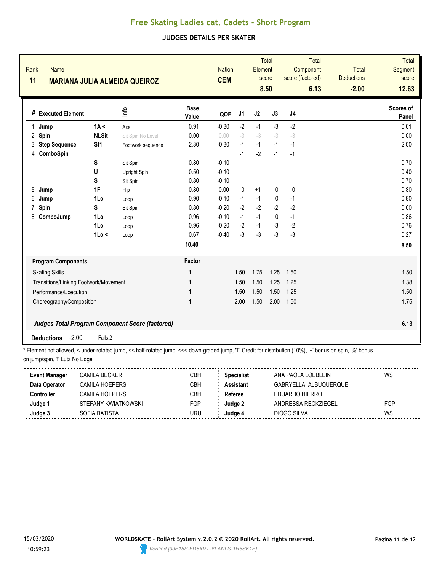### **JUDGES DETAILS PER SKATER**

|              | Rank<br><b>Name</b><br>11<br><b>MARIANA JULIA ALMEIDA QUEIROZ</b> |              |                                                                                                                                                    |                      | <b>CEM</b> | <b>Nation</b> |      | <b>Total</b><br>Element<br>score<br>8.50 | <b>Total</b><br>Component<br>score (factored)<br>6.13 |      | <b>Total</b><br><b>Deductions</b><br>$-2.00$ | <b>Total</b><br>Segment<br>score<br>12.63 |
|--------------|-------------------------------------------------------------------|--------------|----------------------------------------------------------------------------------------------------------------------------------------------------|----------------------|------------|---------------|------|------------------------------------------|-------------------------------------------------------|------|----------------------------------------------|-------------------------------------------|
|              | # Executed Element                                                |              | <b>Shul</b>                                                                                                                                        | <b>Base</b><br>Value | QOE        | J1            | J2   | J3                                       | J <sub>4</sub>                                        |      |                                              | Scores of<br>Panel                        |
| $\mathbf{1}$ | Jump                                                              | 1A <         | Axel                                                                                                                                               | 0.91                 | $-0.30$    | $-2$          | $-1$ | $-3$                                     | $-2$                                                  |      |                                              | 0.61                                      |
| 2            | Spin                                                              | <b>NLSit</b> | Sit Spin No Level                                                                                                                                  | 0.00                 | 0.00       | $-3$          | $-3$ | $-3$                                     | $-3$                                                  |      |                                              | 0.00                                      |
| 3            | <b>Step Sequence</b>                                              | St1          | Footwork sequence                                                                                                                                  | 2.30                 | $-0.30$    | $-1$          | $-1$ | $-1$                                     | $-1$                                                  |      |                                              | 2.00                                      |
| 4            | ComboSpin                                                         |              |                                                                                                                                                    |                      |            | $-1$          | $-2$ | $-1$                                     | $-1$                                                  |      |                                              |                                           |
|              |                                                                   | S            | Sit Spin                                                                                                                                           | 0.80                 | $-0.10$    |               |      |                                          |                                                       |      |                                              | 0.70                                      |
|              |                                                                   | U            | Upright Spin                                                                                                                                       | 0.50                 | $-0.10$    |               |      |                                          |                                                       |      |                                              | 0.40                                      |
|              |                                                                   | S            | Sit Spin                                                                                                                                           | 0.80                 | $-0.10$    |               |      |                                          |                                                       |      |                                              | 0.70                                      |
| 5            | Jump                                                              | 1F           | Flip                                                                                                                                               | 0.80                 | 0.00       | $\mathbf{0}$  | $+1$ | 0                                        | 0                                                     |      |                                              | 0.80                                      |
| 6            | Jump                                                              | 1Lo          | Loop                                                                                                                                               | 0.90                 | $-0.10$    | $-1$          | $-1$ | 0                                        | $-1$                                                  |      |                                              | 0.80                                      |
| 7            | Spin                                                              | S            | Sit Spin                                                                                                                                           | 0.80                 | $-0.20$    | $-2$          | $-2$ | $-2$                                     | $-2$                                                  |      |                                              | 0.60                                      |
| 8            | ComboJump                                                         | 1Lo          | Loop                                                                                                                                               | 0.96                 | $-0.10$    | $-1$          | $-1$ | $\mathbf{0}$                             | $-1$                                                  |      |                                              | 0.86                                      |
|              |                                                                   | 1Lo          | Loop                                                                                                                                               | 0.96                 | $-0.20$    | $-2$          | $-1$ | $-3$                                     | $-2$                                                  |      |                                              | 0.76                                      |
|              |                                                                   | 1Lo <        | Loop                                                                                                                                               | 0.67                 | $-0.40$    | $-3$          | $-3$ | $-3$                                     | $-3$                                                  |      |                                              | 0.27                                      |
|              |                                                                   |              |                                                                                                                                                    | 10.40                |            |               |      |                                          |                                                       |      |                                              | 8.50                                      |
|              | <b>Program Components</b>                                         |              |                                                                                                                                                    | Factor               |            |               |      |                                          |                                                       |      |                                              |                                           |
|              | <b>Skating Skills</b>                                             |              |                                                                                                                                                    | 1                    |            | 1.50          | 1.75 | 1.25                                     | 1.50                                                  |      |                                              | 1.50                                      |
|              | Transitions/Linking Footwork/Movement                             |              |                                                                                                                                                    | 1                    |            | 1.50          | 1.50 | 1.25                                     | 1.25                                                  |      |                                              | 1.38                                      |
|              | Performance/Execution                                             |              |                                                                                                                                                    | 1                    |            | 1.50          | 1.50 | 1.50                                     | 1.25                                                  |      |                                              | 1.50                                      |
|              | Choreography/Composition                                          |              |                                                                                                                                                    | 1                    |            | 2.00          | 1.50 | 2.00                                     | 1.50                                                  |      |                                              | 1.75                                      |
|              | Judges Total Program Component Score (factored)                   |              |                                                                                                                                                    |                      |            |               |      |                                          |                                                       | 6.13 |                                              |                                           |
|              | $-2.00$<br><b>Deductions</b>                                      | Falls:2      | * Element not ellowed zunder retated jumn zz bolf retated jumn zzz dewn aroded jumn IT! Credit for distribution (100/) L. henye en enjn 10/1 benye |                      |            |               |      |                                          |                                                       |      |                                              |                                           |

| <b>Event Manager</b> | CAMILA BECKER       | СВН | <b>Specialist</b> | ANA PAOLA LOEBLEIN    | WS  |
|----------------------|---------------------|-----|-------------------|-----------------------|-----|
| Data Operator        | CAMII A HOFPFRS     | CBH | <b>Assistant</b>  | GABRYELLA ALBUQUERQUE |     |
| Controller           | CAMII A HOFPFRS     | СВН | Referee           | <b>FDUARDO HIFRRO</b> |     |
| Judge 1              | STEFANY KWIATKOWSKI | FGP | Judge 2           | ANDRESSA RECKZIEGEL   | FGP |
| Judge 3              | SOFIA BATISTA       | JRU | Judge⊿            | DIOGO SILVA           | WS  |
|                      |                     |     |                   |                       |     |